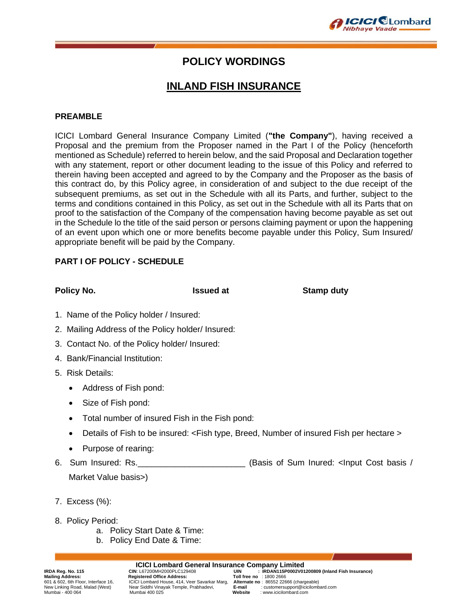

## **POLICY WORDINGS**

# **INLAND FISH INSURANCE**

#### **PREAMBLE**

ICICI Lombard General Insurance Company Limited (**"the Company"**), having received a Proposal and the premium from the Proposer named in the Part I of the Policy (henceforth mentioned as Schedule) referred to herein below, and the said Proposal and Declaration together with any statement, report or other document leading to the issue of this Policy and referred to therein having been accepted and agreed to by the Company and the Proposer as the basis of this contract do, by this Policy agree, in consideration of and subject to the due receipt of the subsequent premiums, as set out in the Schedule with all its Parts, and further, subject to the terms and conditions contained in this Policy, as set out in the Schedule with all its Parts that on proof to the satisfaction of the Company of the compensation having become payable as set out in the Schedule lo the title of the said person or persons claiming payment or upon the happening of an event upon which one or more benefits become payable under this Policy, Sum Insured/ appropriate benefit will be paid by the Company.

#### **PART I OF POLICY - SCHEDULE**

**Policy No. ISSUED at All Stamp duty Contains a Stamp duty Policy No. 1997** 

- 1. Name of the Policy holder / Insured:
- 2. Mailing Address of the Policy holder/ Insured:
- 3. Contact No. of the Policy holder/ Insured:
- 4. Bank/Financial Institution:
- 5. Risk Details:
	- Address of Fish pond:
	- Size of Fish pond:
	- Total number of insured Fish in the Fish pond:
	- Details of Fish to be insured: <Fish type, Breed, Number of insured Fish per hectare >
	- Purpose of rearing:
- 6. Sum Insured: Rs.\_\_\_\_\_\_\_\_\_\_\_\_\_\_\_\_\_\_\_\_\_\_\_ (Basis of Sum Inured: <Input Cost basis / Market Value basis>)
- 7. Excess (%):
- 8. Policy Period:
	- a. Policy Start Date & Time:
	- b. Policy End Date & Time:

**Mailing Address: Registered Office Address:**<br>601 & 602, 6th Floor, Interface 16, ICICI Lombard House, 414, V

**ICICI Lombard General Insurance Company Limited**<br>IRDAN115P0002V01 : UIN : L67200MH2000PLC129408 Near Siddhi Vinayak Temple, Prabhadevi, Mumbai - 400 064 Mumbai 400 025 **Website** : www.icicilombard.com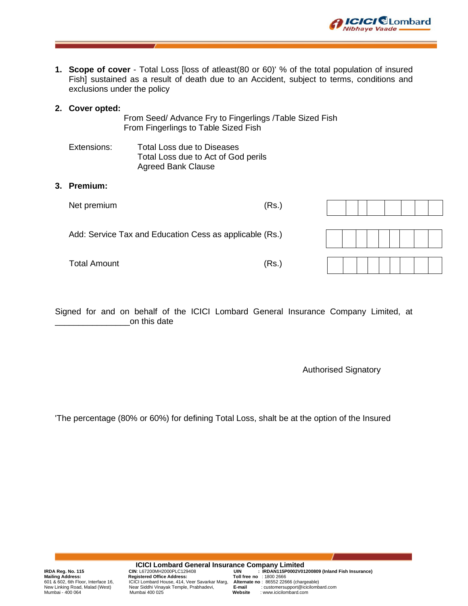

#### **2. Cover opted:**

From Seed/ Advance Fry to Fingerlings /Table Sized Fish From Fingerlings to Table Sized Fish

Extensions: Total Loss due to Diseases Total Loss due to Act of God perils Agreed Bank Clause

#### **3. Premium:**

| Net premium                                             | (Rs.) |  |
|---------------------------------------------------------|-------|--|
| Add: Service Tax and Education Cess as applicable (Rs.) |       |  |
| <b>Total Amount</b>                                     | (Rs.) |  |

Signed for and on behalf of the ICICI Lombard General Insurance Company Limited, at \_\_\_\_\_\_\_\_\_\_\_\_\_\_\_\_on this date

Authorised Signatory

**ICICI** CLombard

**Nibhaye Vaade** 

'The percentage (80% or 60%) for defining Total Loss, shalt be at the option of the Insured

**ICICI Lombard General Insurance Company Limited**<br>CIN: L67200MH2000PLC129408<br>IRDAN115P0002V01 **Mailing Address: Registered Office Address: Toll free no** : 1800 2666 601 & 602, 6th Floor, Interface 16, ICICI Lombard House, 414, Veer Savarkar Marg, **Alternate no** : 86552 22666 (chargeable) Mumbai - 400 064 Mumbai 400 025 **Website** : www.icicilombard.com

IRDA Reg. No. 115 **CIN: L67200MH2000PLC129408 UIN : IRDAN115P0002V01200809 (Inland Fish Insurance)**<br>Mailing Address: Registered Office Address: Toll free no : 1800 2666<br>601 & 602, 6th Floor, Interface 16, ICICI Lombard H New Linking Road, Malad (West) Near Siddhi Vinayak Temple, Prabhadevi, **E-mail** : customersupport@icicilombard.com<br>Mumbai - 400 064 Mumbai 400 025 **Website** : www.icicilombard.com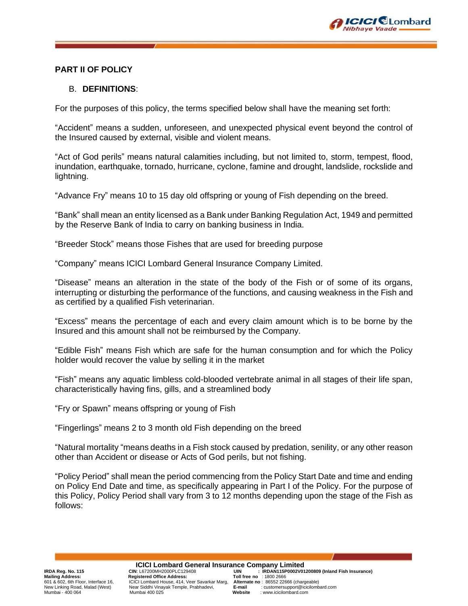

#### **PART II OF POLICY**

#### B. **DEFINITIONS**:

For the purposes of this policy, the terms specified below shall have the meaning set forth:

"Accident" means a sudden, unforeseen, and unexpected physical event beyond the control of the Insured caused by external, visible and violent means.

"Act of God perils" means natural calamities including, but not limited to, storm, tempest, flood, inundation, earthquake, tornado, hurricane, cyclone, famine and drought, landslide, rockslide and lightning.

"Advance Fry" means 10 to 15 day old offspring or young of Fish depending on the breed.

"Bank" shall mean an entity licensed as a Bank under Banking Regulation Act, 1949 and permitted by the Reserve Bank of India to carry on banking business in India.

"Breeder Stock" means those Fishes that are used for breeding purpose

"Company" means ICICI Lombard General Insurance Company Limited.

"Disease" means an alteration in the state of the body of the Fish or of some of its organs, interrupting or disturbing the performance of the functions, and causing weakness in the Fish and as certified by a qualified Fish veterinarian.

"Excess" means the percentage of each and every claim amount which is to be borne by the Insured and this amount shall not be reimbursed by the Company.

"Edible Fish" means Fish which are safe for the human consumption and for which the Policy holder would recover the value by selling it in the market

"Fish" means any aquatic limbless cold-blooded vertebrate animal in all stages of their life span, characteristically having fins, gills, and a streamlined body

"Fry or Spawn" means offspring or young of Fish

"Fingerlings" means 2 to 3 month old Fish depending on the breed

"Natural mortality "means deaths in a Fish stock caused by predation, senility, or any other reason other than Accident or disease or Acts of God perils, but not fishing.

"Policy Period" shall mean the period commencing from the Policy Start Date and time and ending on Policy End Date and time, as specifically appearing in Part I of the Policy. For the purpose of this Policy, Policy Period shall vary from 3 to 12 months depending upon the stage of the Fish as follows:

**ICICI Lombard General Insurance Company Limited**<br>IRDAN115P0002V01 : UIN : L67200MH2000PLC129408 Mailing Address: Registered Office Address: Toll free no : 1800 2666<br>601 & 602, 6th Floor, Interface 16, CICI Lombard House, 414, Veer Savarkar Marg, Alternate no : 86552 22666 (chargeable) Near Siddhi Vinayak Temple, Prabhadevi, Mumbai - 400 064 Mumbai 400 025 **Website** : www.icicilombard.com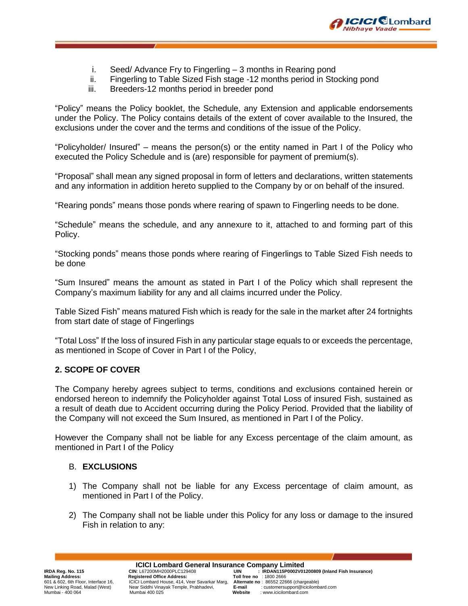

- i. Seed/ Advance Fry to Fingerling 3 months in Rearing pond
- ii. Fingerling to Table Sized Fish stage -12 months period in Stocking pond
- iii. Breeders-12 months period in breeder pond

"Policy" means the Policy booklet, the Schedule, any Extension and applicable endorsements under the Policy. The Policy contains details of the extent of cover available to the Insured, the exclusions under the cover and the terms and conditions of the issue of the Policy.

"Policyholder/ Insured" – means the person(s) or the entity named in Part I of the Policy who executed the Policy Schedule and is (are) responsible for payment of premium(s).

"Proposal" shall mean any signed proposal in form of letters and declarations, written statements and any information in addition hereto supplied to the Company by or on behalf of the insured.

"Rearing ponds" means those ponds where rearing of spawn to Fingerling needs to be done.

"Schedule" means the schedule, and any annexure to it, attached to and forming part of this Policy.

"Stocking ponds" means those ponds where rearing of Fingerlings to Table Sized Fish needs to be done

"Sum Insured" means the amount as stated in Part I of the Policy which shall represent the Company's maximum liability for any and all claims incurred under the Policy.

Table Sized Fish" means matured Fish which is ready for the sale in the market after 24 fortnights from start date of stage of Fingerlings

"Total Loss" If the loss of insured Fish in any particular stage equals to or exceeds the percentage, as mentioned in Scope of Cover in Part I of the Policy,

### **2. SCOPE OF COVER**

The Company hereby agrees subject to terms, conditions and exclusions contained herein or endorsed hereon to indemnify the Policyholder against Total Loss of insured Fish, sustained as a result of death due to Accident occurring during the Policy Period. Provided that the liability of the Company will not exceed the Sum Insured, as mentioned in Part I of the Policy.

However the Company shall not be liable for any Excess percentage of the claim amount, as mentioned in Part I of the Policy

#### B. **EXCLUSIONS**

- 1) The Company shall not be liable for any Excess percentage of claim amount, as mentioned in Part I of the Policy.
- 2) The Company shall not be liable under this Policy for any loss or damage to the insured Fish in relation to any:

**ICICI Lombard General Insurance Company Limited**<br>IRDAN115P0002V01 : UIN : L67200MH2000PLC129408 Near Siddhi Vinayak Temple, Prabhadevi, Mumbai - 400 064 Mumbai 400 025 **Website** : www.icicilombard.com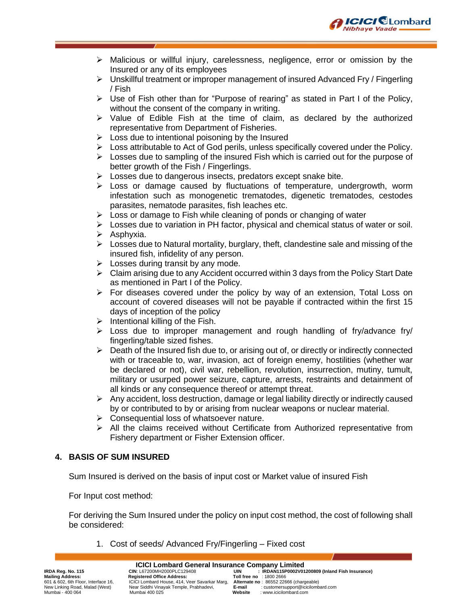

- $\triangleright$  Malicious or willful injury, carelessness, negligence, error or omission by the Insured or any of its employees
- ➢ Unskillful treatment or improper management of insured Advanced Fry / Fingerling / Fish
- ➢ Use of Fish other than for "Purpose of rearing" as stated in Part I of the Policy, without the consent of the company in writing.
- ➢ Value of Edible Fish at the time of claim, as declared by the authorized representative from Department of Fisheries.
- $\triangleright$  Loss due to intentional poisoning by the Insured
- $\triangleright$  Loss attributable to Act of God perils, unless specifically covered under the Policy.
- $\triangleright$  Losses due to sampling of the insured Fish which is carried out for the purpose of better growth of the Fish / Fingerlings.
- ➢ Losses due to dangerous insects, predators except snake bite.
- $\triangleright$  Loss or damage caused by fluctuations of temperature, undergrowth, worm infestation such as monogenetic trematodes, digenetic trematodes, cestodes parasites, nematode parasites, fish leaches etc.
- $\triangleright$  Loss or damage to Fish while cleaning of ponds or changing of water
- $\triangleright$  Losses due to variation in PH factor, physical and chemical status of water or soil.
- ➢ Asphyxia.
- $\triangleright$  Losses due to Natural mortality, burglary, theft, clandestine sale and missing of the insured fish, infidelity of any person.
- $\triangleright$  Losses during transit by any mode.
- ➢ Claim arising due to any Accident occurred within 3 days from the Policy Start Date as mentioned in Part I of the Policy.
- ➢ For diseases covered under the policy by way of an extension, Total Loss on account of covered diseases will not be payable if contracted within the first 15 days of inception of the policy
- $\triangleright$  Intentional killing of the Fish.
- $\triangleright$  Loss due to improper management and rough handling of fry/advance fry/ fingerling/table sized fishes.
- $\triangleright$  Death of the Insured fish due to, or arising out of, or directly or indirectly connected with or traceable to, war, invasion, act of foreign enemy, hostilities (whether war be declared or not), civil war, rebellion, revolution, insurrection, mutiny, tumult, military or usurped power seizure, capture, arrests, restraints and detainment of all kinds or any consequence thereof or attempt threat.
- ➢ Any accident, loss destruction, damage or legal liability directly or indirectly caused by or contributed to by or arising from nuclear weapons or nuclear material.
- ➢ Consequential loss of whatsoever nature.
- ➢ All the claims received without Certificate from Authorized representative from Fishery department or Fisher Extension officer.

### **4. BASIS OF SUM INSURED**

Sum Insured is derived on the basis of input cost or Market value of insured Fish

For Input cost method:

For deriving the Sum Insured under the policy on input cost method, the cost of following shall be considered:

1. Cost of seeds/ Advanced Fry/Fingerling – Fixed cost

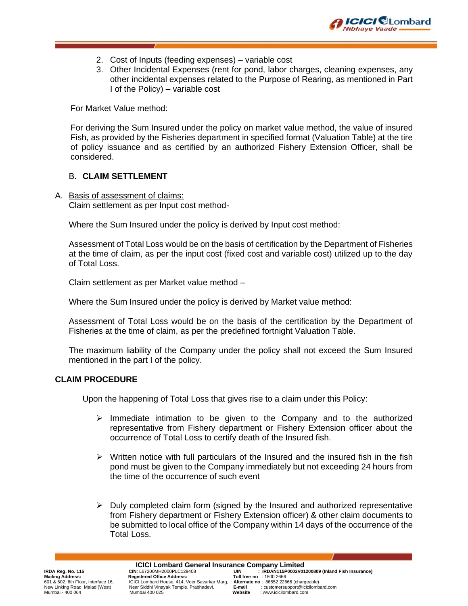

- 2. Cost of Inputs (feeding expenses) variable cost
- 3. Other Incidental Expenses (rent for pond, labor charges, cleaning expenses, any other incidental expenses related to the Purpose of Rearing, as mentioned in Part I of the Policy) – variable cost

For Market Value method:

For deriving the Sum Insured under the policy on market value method, the value of insured Fish, as provided by the Fisheries department in specified format (Valuation Table) at the tire of policy issuance and as certified by an authorized Fishery Extension Officer, shall be considered.

#### B. **CLAIM SETTLEMENT**

A. Basis of assessment of claims: Claim settlement as per Input cost method-

Where the Sum Insured under the policy is derived by Input cost method:

Assessment of Total Loss would be on the basis of certification by the Department of Fisheries at the time of claim, as per the input cost (fixed cost and variable cost) utilized up to the day of Total Loss.

Claim settlement as per Market value method –

Where the Sum Insured under the policy is derived by Market value method:

Assessment of Total Loss would be on the basis of the certification by the Department of Fisheries at the time of claim, as per the predefined fortnight Valuation Table.

The maximum liability of the Company under the policy shall not exceed the Sum Insured mentioned in the part I of the policy.

#### **CLAIM PROCEDURE**

Upon the happening of Total Loss that gives rise to a claim under this Policy:

- $\triangleright$  Immediate intimation to be given to the Company and to the authorized representative from Fishery department or Fishery Extension officer about the occurrence of Total Loss to certify death of the Insured fish.
- $\triangleright$  Written notice with full particulars of the Insured and the insured fish in the fish pond must be given to the Company immediately but not exceeding 24 hours from the time of the occurrence of such event
- $\triangleright$  Duly completed claim form (signed by the Insured and authorized representative from Fishery department or Fishery Extension officer) & other claim documents to be submitted to local office of the Company within 14 days of the occurrence of the Total Loss.

**ICICI Lombard General Insurance Company Limited**<br>IRDAN115P0002V01 : UIN : L67200MH2000PLC129408 Near Siddhi Vinayak Temple, Prabhadevi, Mumbai - 400 064 Mumbai 400 025 **Website** : www.icicilombard.com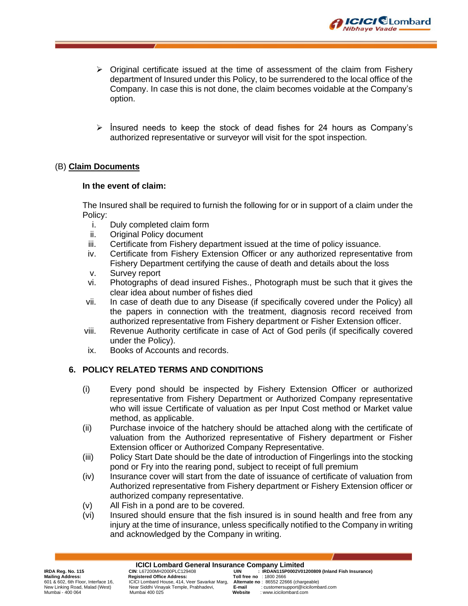

- $\triangleright$  Original certificate issued at the time of assessment of the claim from Fishery department of Insured under this Policy, to be surrendered to the local office of the Company. In case this is not done, the claim becomes voidable at the Company's option.
- $\triangleright$  Insured needs to keep the stock of dead fishes for 24 hours as Company's authorized representative or surveyor will visit for the spot inspection.

### (B) **Claim Documents**

#### **In the event of claim:**

The Insured shall be required to furnish the following for or in support of a claim under the Policy:

- i. Duly completed claim form
- ii. Original Policy document
- iii. Certificate from Fishery department issued at the time of policy issuance.
- iv. Certificate from Fishery Extension Officer or any authorized representative from Fishery Department certifying the cause of death and details about the loss
- v. Survey report
- vi. Photographs of dead insured Fishes., Photograph must be such that it gives the clear idea about number of fishes died
- vii. In case of death due to any Disease (if specifically covered under the Policy) all the papers in connection with the treatment, diagnosis record received from authorized representative from Fishery department or Fisher Extension officer.
- viii. Revenue Authority certificate in case of Act of God perils (if specifically covered under the Policy).
- ix. Books of Accounts and records.

### **6. POLICY RELATED TERMS AND CONDITIONS**

- (i) Every pond should be inspected by Fishery Extension Officer or authorized representative from Fishery Department or Authorized Company representative who will issue Certificate of valuation as per Input Cost method or Market value method, as applicable.
- (ii) Purchase invoice of the hatchery should be attached along with the certificate of valuation from the Authorized representative of Fishery department or Fisher Extension officer or Authorized Company Representative.
- (iii) Policy Start Date should be the date of introduction of Fingerlings into the stocking pond or Fry into the rearing pond, subject to receipt of full premium
- (iv) Insurance cover will start from the date of issuance of certificate of valuation from Authorized representative from Fishery department or Fishery Extension officer or authorized company representative.
- (v) All Fish in a pond are to be covered.
- (vi) Insured should ensure that the fish insured is in sound health and free from any injury at the time of insurance, unless specifically notified to the Company in writing and acknowledged by the Company in writing.

# **ICICI Lombard General Insurance Company Limited**<br>IRDAN115P0002V01 : UIN : L67200MH2000PLC129408

**Mailing Address: Registered Office Address:**<br>601 & 602, 6th Floor, Interface 16, ICICI Lombard House, 414, V

Near Siddhi Vinayak Temple, Prabhadevi, Mumbai - 400 064 Mumbai 400 025 **Website** : www.icicilombard.com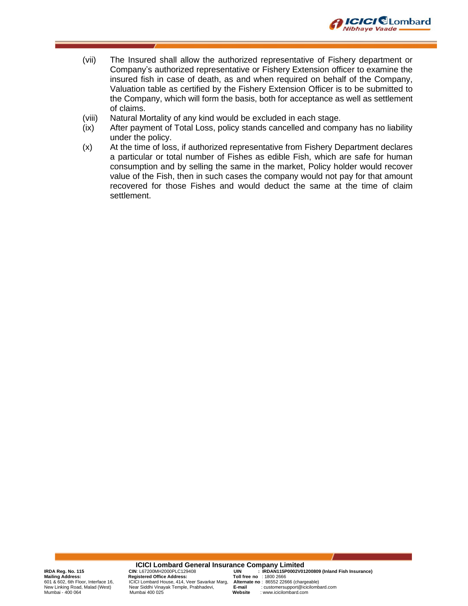

- (vii) The Insured shall allow the authorized representative of Fishery department or Company's authorized representative or Fishery Extension officer to examine the insured fish in case of death, as and when required on behalf of the Company, Valuation table as certified by the Fishery Extension Officer is to be submitted to the Company, which will form the basis, both for acceptance as well as settlement of claims.
- (viii) Natural Mortality of any kind would be excluded in each stage.
- (ix) After payment of Total Loss, policy stands cancelled and company has no liability under the policy.
- (x) At the time of loss, if authorized representative from Fishery Department declares a particular or total number of Fishes as edible Fish, which are safe for human consumption and by selling the same in the market, Policy holder would recover value of the Fish, then in such cases the company would not pay for that amount recovered for those Fishes and would deduct the same at the time of claim settlement.

**ICICI Lombard General Insurance Company Limited**<br>IRDAN115P0002V01 : UIN : L67200MH2000PLC129408 **IRDA Reg. No. 115** CIN: L67200MH2000PLC129408<br> **Mailing Address:** Registered Office Address: Toll free no : 1800 2666<br>
601 & 602, 6th Floor, Interface 16, CICI Lombard House, 414, Veer Savarkar Marg, Alternate no : 86552 601 & 602, 6th Floor, Interface 16, ICICI Lombard House, 414, Veer Savarkar Marg, **Alternate no** : 86552 22666 (chargeable) Near Siddhi Vinayak Temple, Prabhadevi, Mumbai - 400 064 Mumbai 400 025 **Website** : www.icicilombard.com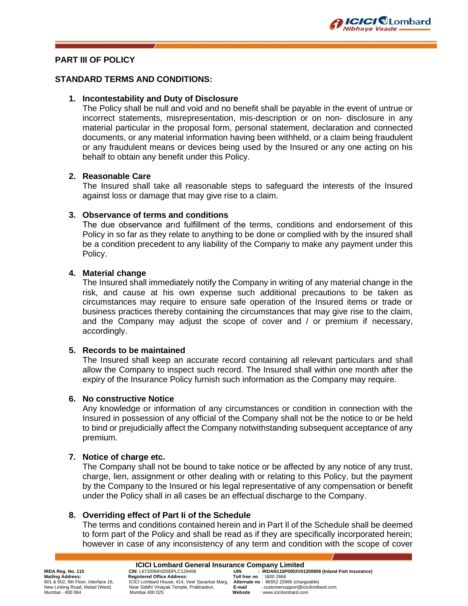

### **PART III OF POLICY**

#### **STANDARD TERMS AND CONDITIONS:**

#### **1. Incontestability and Duty of Disclosure**

The Policy shall be null and void and no benefit shall be payable in the event of untrue or incorrect statements, misrepresentation, mis-description or on non- disclosure in any material particular in the proposal form, personal statement, declaration and connected documents, or any material information having been withheld, or a claim being fraudulent or any fraudulent means or devices being used by the Insured or any one acting on his behalf to obtain any benefit under this Policy.

#### **2. Reasonable Care**

The Insured shall take all reasonable steps to safeguard the interests of the Insured against loss or damage that may give rise to a claim.

#### **3. Observance of terms and conditions**

The due observance arıd fulfillment of the terms, conditions and endorsement of this Policy in so far as they relate to anything to be done or complied with by the insured shall be a condition precedent to any liability of the Company to make any payment under this Policy.

#### **4. Material change**

The Insured shall immediately notify the Company in writing of any material change in the risk, and cause at his own expense such additional precautions to be taken as circumstances may require to ensure safe operation of the Insured items or trade or business practices thereby containing the circumstances that may give rise to the claim, and the Company may adjust the scope of cover and / or premium if necessary, accordingly.

#### **5. Records to be maintained**

The Insured shall keep an accurate record containing all relevant particulars and shall allow the Company to inspect such record. The Insured shall within one month after the expiry of the Insurance Policy furnish such information as the Company may require.

#### **6. No constructive Notice**

Any knowledge or information of any circumstances or condition in connection with the Insured in possession of any official of the Company shall not be the notice to or be held to bind or prejudicially affect the Company notwithstanding subsequent acceptance of any premium.

#### **7. Notice of charge etc.**

The Company shall not be bound to take notice or be affected by any notice of any trust, charge, lien, assignment or other dealing with or relating to this Policy, but the payment by the Company to the Insured or his legal representative of any compensation or benefit under the Policy shall in all cases be an effectual discharge to the Company.

#### **8. Overriding effect of Part Ii of the Schedule**

The terms and conditions contained herein and in Part Il of the Schedule shall be deemed to form part of the Policy and shall be read as if they are specifically incorporated herein; however in case of any inconsistency of any term and condition with the scope of cover

**Mailing Address: Registered Office Address:**<br>601 & 602, 6th Floor, Interface 16, ICICI Lombard House, 414, V

**ICICI Lombard General Insurance Company Limited**<br>IRDAN115P0002V01 : UIN : L67200MH2000PLC129408 Near Siddhi Vinayak Temple, Prabhadevi, Mumbai - 400 064 Mumbai 400 025 **Website** : www.icicilombard.com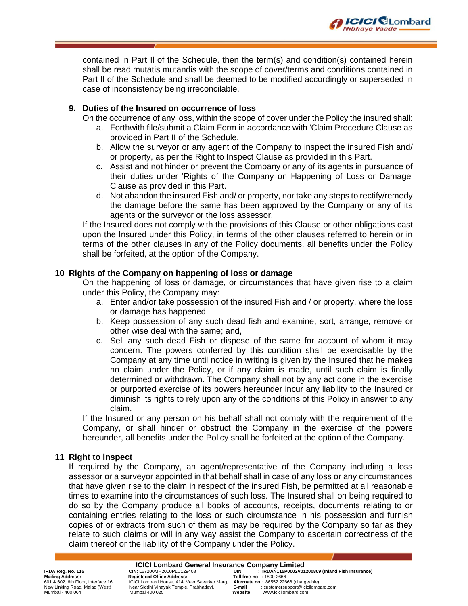contained in Part Il of the Schedule, then the term(s) and condition(s) contained herein shall be read mutatis mutandis with the scope of cover/terms and conditions contained in Part lI of the Schedule and shall be deemed to be modified accordingly or superseded in case of inconsistency being irreconcilable.

**CICI** CLombard

**Vibhaye Vaade** 

#### **9. Duties of the Insured on occurrence of loss**

On the occurrence of any loss, within the scope of cover under the Policy the insured shall:

- a. Forthwith file/submit a Claim Form in accordance with 'Claim Procedure Clause as provided in Part II of the Schedule.
- b. Allow the surveyor or any agent of the Company to inspect the insured Fish and/ or property, as per the Right to Inspect Clause as provided in this Part.
- c. Assist and not hinder or prevent the Company or any of its agents in pursuance of their duties under 'Rights of the Company on Happening of Loss or Damage' Clause as provided in this Part.
- d. Not abandon the insured Fish and/ or property, nor take any steps to rectify/remedy the damage before the same has been approved by the Company or any of its agents or the surveyor or the loss assessor.

If the Insured does not comply with the provisions of this Clause or other obligations cast upon the Insured under this Policy, in terms of the other clauses referred to herein or in terms of the other clauses in any of the Policy documents, all benefits under the Policy shall be forfeited, at the option of the Company.

#### **10 Rights of the Company on happening of loss or damage**

On the happening of loss or damage, or circumstances that have given rise to a claim under this Policy, the Company may:

- a. Enter and/or take possession of the insured Fish and / or property, where the loss or damage has happened
- b. Keep possession of any such dead fish and examine, sort, arrange, remove or other wise deal with the same; and,
- c. Sell any such dead Fish or dispose of the same for account of whom it may concern. The powers conferred by this condition shall be exercisable by the Company at any time until notice in writing is given by the Insured that he makes no claim under the Policy, or if any claim is made, until such claim is finally determined or withdrawn. The Company shall not by any act done in the exercise or purported exercise of its powers hereunder incur any liability to the Insured or diminish its rights to rely upon any of the conditions of this Policy in answer to any claim.

If the Insured or any person on his behalf shall not comply with the requirement of the Company, or shall hinder or obstruct the Company in the exercise of the powers hereunder, all benefits under the Policy shall be forfeited at the option of the Company.

#### **11 Right to inspect**

If required by the Company, an agent/representative of the Company including a loss assessor or a surveyor appointed in that behalf shall in case of any loss or any circumstances that have given rise to the claim in respect of the insured Fish, be permitted at all reasonable times to examine into the circumstances of such loss. The Insured shall on being required to do so by the Company produce all books of accounts, receipts, documents relating to or containing entries relating to the loss or such circumstance in his possession and furnish copies of or extracts from such of them as may be required by the Company so far as they relate to such claims or will in any way assist the Company to ascertain correctness of the claim thereof or the liability of the Company under the Policy.

**ICICI Lombard General Insurance Company Limited**<br>IRDAN115P0002V01 : UIN : L67200MH2000PLC129408

**Mailing Address: Registered Office Address:**<br>601 & 602, 6th Floor, Interface 16, ICICI Lombard House, 414, V

Near Siddhi Vinayak Temple, Prabhadevi, Mumbai - 400 064 Mumbai 400 025 **Website** : www.icicilombard.com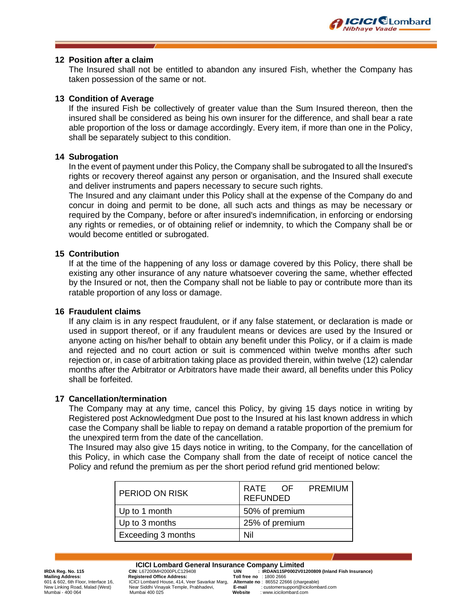

#### **12 Position after a claim**

The Insured shall not be entitled to abandon any insured Fish, whether the Company has taken possession of the same or not.

#### **13 Condition of Average**

If the insured Fish be collectively of greater value than the Sum Insured thereon, then the insured shall be considered as being his own insurer for the difference, and shall bear a rate able proportion of the loss or damage accordingly. Every item, if more than one in the Policy, shall be separately subject to this condition.

#### **14 Subrogation**

In the event of payment under this Policy, the Company shall be subrogated to all the Insured's rights or recovery thereof against any person or organisation, and the Insured shall execute and deliver instruments and papers necessary to secure such rights.

The Insured and any claimant under this Policy shall at the expense of the Company do and concur in doing and permit to be done, all such acts and things as may be necessary or required by the Company, before or after insured's indemnification, in enforcing or endorsing any rights or remedies, or of obtaining relief or indemnity, to which the Company shall be or would become entitled or subrogated.

#### **15 Contribution**

If at the time of the happening of any loss or damage covered by this Policy, there shall be existing any other insurance of any nature whatsoever covering the same, whether effected by the Insured or not, then the Company shall not be liable to pay or contribute more than its ratable proportion of any loss or damage.

#### **16 Fraudulent claims**

If any claim is in any respect fraudulent, or if any false statement, or declaration is made or used in support thereof, or if any fraudulent means or devices are used by the Insured or anyone acting on his/her behalf to obtain any benefit under this Policy, or if a claim is made and rejected and no court action or suit is commenced within twelve months after such rejection or, in case of arbitration taking place as provided therein, within twelve (12) calendar months after the Arbitrator or Arbitrators have made their award, all benefits under this Policy shall be forfeited.

#### **17 Cancellation/termination**

The Company may at any time, cancel this Policy, by giving 15 days notice in writing by Registered post Acknowledgment Due post to the Insured at his last known address in which case the Company shall be liable to repay on demand a ratable proportion of the premium for the unexpired term from the date of the cancellation.

The Insured may also give 15 days notice in writing, to the Company, for the cancellation of this Policy, in which case the Company shall from the date of receipt of notice cancel the Policy and refund the premium as per the short period refund grid mentioned below:

| I PERIOD ON RISK          | RATE OF PREMIUM<br><b>REFUNDED</b> |  |  |
|---------------------------|------------------------------------|--|--|
| Up to 1 month             | 50% of premium                     |  |  |
| Up to 3 months            | 25% of premium                     |  |  |
| <b>Exceeding 3 months</b> | Nil                                |  |  |

**Mailing Address: Registered Office Address:**<br>601 & 602, 6th Floor, Interface 16, ICICI Lombard House, 414, V

**ICICI Lombard General Insurance Company Limited**<br>IRDAN115P0002V01 : UIN : L67200MH2000PLC129408 **IRDA Reg. No. 115 CIN**: L67200MH2000PLC129408 **UIN : IRDAN115P0002V01200809 (Inland Fish Insurance)** 601 & 602, 6th Floor, Interface 16, ICICI Lombard House, 414, Veer Savarkar Marg, **Alternate no** : 86552 22666 (chargeable) Near Siddhi Vinayak Temple, Prabhadevi, Mumbai - 400 064 Mumbai 400 025 **Website** : www.icicilombard.com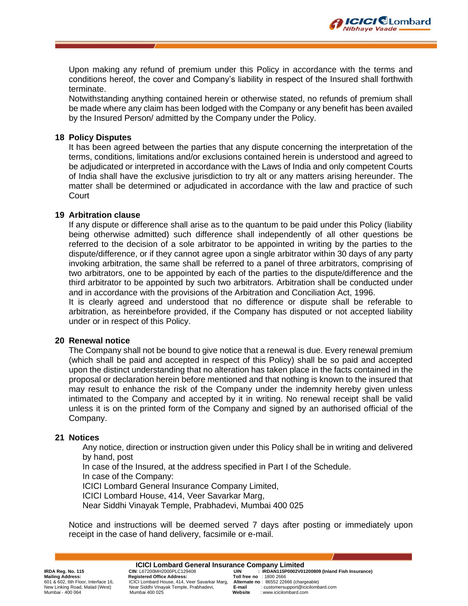

Upon making any refund of premium under this Policy in accordance with the terms and conditions hereof, the cover and Company's liability in respect of the Insured shall forthwith terminate.

Notwithstanding anything contained herein or otherwise stated, no refunds of premium shall be made where any claim has been lodged with the Company or any benefit has been availed by the Insured Person/ admitted by the Company under the Policy.

#### **18 Policy Disputes**

It has been agreed between the parties that any dispute concerning the interpretation of the terms, conditions, limitations and/or exclusions contained herein is understood and agreed to be adjudicated or interpreted in accordance with the Laws of India and only competent Courts of India shall have the exclusive jurisdiction to try alt or any matters arising hereunder. The matter shall be determined or adjudicated in accordance with the law and practice of such Court

#### **19 Arbitration clause**

If any dispute or difference shall arise as to the quantum to be paid under this Policy (liability being otherwise admitted) such difference shall independently of all other questions be referred to the decision of a sole arbitrator to be appointed in writing by the parties to the dispute/difference, or if they cannot agree upon a single arbitrator within 30 days of any party invoking arbitration, the same shall be referred to a panel of three arbitrators, comprising of two arbitrators, one to be appointed by each of the parties to the dispute/difference and the third arbitrator to be appointed by such two arbitrators. Arbitration shall be conducted under and in accordance with the provisions of the Arbitration and Conciliation Act, 1996.

It is clearly agreed and understood that no difference or dispute shall be referable to arbitration, as hereinbefore provided, if the Company has disputed or not accepted liability under or in respect of this Policy.

#### **20 Renewal notice**

The Company shall not be bound to give notice that a renewal is due. Every renewal premium (which shall be paid and accepted in respect of this Policy) shall be so paid and accepted upon the distinct understanding that no alteration has taken place in the facts contained in the proposal or declaration herein before mentioned and that nothing is known to the insured that may result to enhance the risk of the Company under the indemnity hereby given unless intimated to the Company and accepted by it in writing. No renewal receipt shall be valid unless it is on the printed form of the Company and signed by an authorised official of the Company.

#### **21 Notices**

Any notice, direction or instruction given under this Policy shall be in writing and delivered by hand, post

In case of the Insured, at the address specified in Part I of the Schedule.

In case of the Company:

ICICI Lombard General Insurance Company Limited,

ICICI Lombard House, 414, Veer Savarkar Marg,

Near Siddhi Vinayak Temple, Prabhadevi, Mumbai 400 025

Notice and instructions will be deemed served 7 days after posting or immediately upon receipt in the case of hand delivery, facsimile or e-mail.

**Mailing Address: Registered Office Address:**<br>601 & 602, 6th Floor, Interface 16, ICICI Lombard House, 414, V

**ICICI Lombard General Insurance Company Limited**<br>IRDAN115P0002V01 : UIN : L67200MH2000PLC129408 Near Siddhi Vinayak Temple, Prabhadevi, Mumbai - 400 064 Mumbai 400 025 **Website** : www.icicilombard.com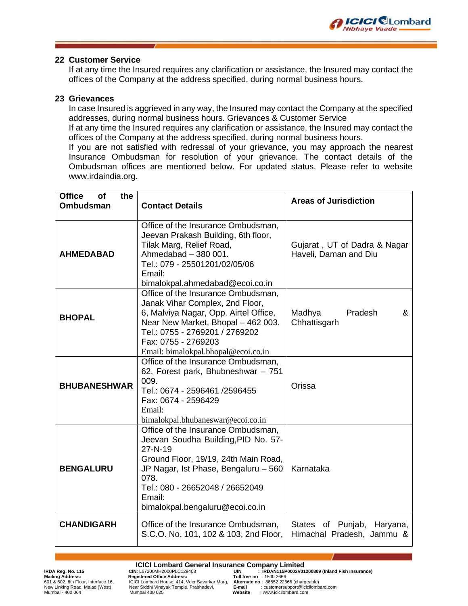

#### **22 Customer Service**

If at any time the Insured requires any clarification or assistance, the Insured may contact the offices of the Company at the address specified, during normal business hours.

#### **23 Grievances**

In case Insured is aggrieved in any way, the Insured may contact the Company at the specified addresses, during normal business hours. Grievances & Customer Service

If at any time the Insured requires any clarification or assistance, the Insured may contact the offices of the Company at the address specified, during normal business hours.

If you are not satisfied with redressal of your grievance, you may approach the nearest Insurance Ombudsman for resolution of your grievance. The contact details of the Ombudsman offices are mentioned below. For updated status, Please refer to website [www.irdaindia.org.](http://www.irdaindia.org/)

| <b>Office</b><br>the<br>Οf<br><b>Ombudsman</b> | <b>Contact Details</b>                                                                                                                                                                                                                                                                  | <b>Areas of Jurisdiction</b>                               |
|------------------------------------------------|-----------------------------------------------------------------------------------------------------------------------------------------------------------------------------------------------------------------------------------------------------------------------------------------|------------------------------------------------------------|
| <b>AHMEDABAD</b>                               | Office of the Insurance Ombudsman,<br>Jeevan Prakash Building, 6th floor,<br>Tilak Marg, Relief Road,<br>Ahmedabad - 380 001.<br>Tel.: 079 - 25501201/02/05/06<br>Email:                                                                                                                | Gujarat, UT of Dadra & Nagar<br>Haveli, Daman and Diu      |
| <b>BHOPAL</b>                                  | bimalokpal.ahmedabad@ecoi.co.in<br>Office of the Insurance Ombudsman,<br>Janak Vihar Complex, 2nd Floor,<br>6, Malviya Nagar, Opp. Airtel Office,<br>Near New Market, Bhopal - 462 003.<br>Tel.: 0755 - 2769201 / 2769202<br>Fax: 0755 - 2769203<br>Email: bimalokpal.bhopal@ecoi.co.in | Pradesh<br>&<br>Madhya<br>Chhattisgarh                     |
| <b>BHUBANESHWAR</b>                            | Office of the Insurance Ombudsman,<br>62, Forest park, Bhubneshwar - 751<br>009.<br>Tel.: 0674 - 2596461 /2596455<br>Fax: 0674 - 2596429<br>Email:<br>bimalokpal.bhubaneswar@ecoi.co.in                                                                                                 | Orissa                                                     |
| <b>BENGALURU</b>                               | Office of the Insurance Ombudsman,<br>Jeevan Soudha Building, PID No. 57-<br>27-N-19<br>Ground Floor, 19/19, 24th Main Road,<br>JP Nagar, Ist Phase, Bengaluru - 560<br>078.<br>Tel.: 080 - 26652048 / 26652049<br>Email:<br>bimalokpal.bengaluru@ecoi.co.in                            | Karnataka                                                  |
| <b>CHANDIGARH</b>                              | Office of the Insurance Ombudsman,<br>S.C.O. No. 101, 102 & 103, 2nd Floor,                                                                                                                                                                                                             | States of Punjab,<br>Haryana,<br>Himachal Pradesh, Jammu & |

**ICICI Lombard General Insurance Company Limited**<br>IRDAN115P0002V01 : UIN : L67200MH2000PLC129408

Near Siddhi Vinayak Temple, Prabhadevi, Mumbai - 400 064 Mumbai 400 025 **Website** : www.icicilombard.com

**IRDA Reg. No. 115** CIN: L67200MH2000PLC129408<br> **Mailing Address:** Registered Office Address: Toll free no : 1800 2666<br>
601 & 602, 6th Floor, Interface 16, CICI Lombard House, 414, Veer Savarkar Marg, Alternate no : 86552 601 & 602, 6th Floor, Interface 16, ICICI Lombard House, 414, Veer Savarkar Marg, **Alternate no** : 86552 22666 (chargeable)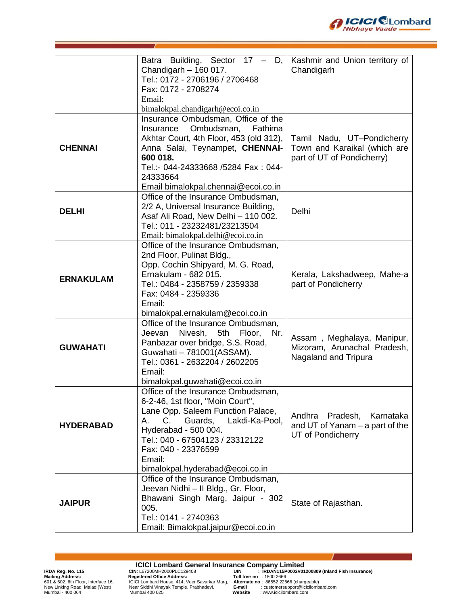

|                  | Batra Building, Sector 17 -<br>D,<br>Chandigarh $-160017$ .<br>Tel.: 0172 - 2706196 / 2706468<br>Fax: 0172 - 2708274<br>Email:                                                                                                                                                                   | Kashmir and Union territory of<br>Chandigarh                                             |
|------------------|--------------------------------------------------------------------------------------------------------------------------------------------------------------------------------------------------------------------------------------------------------------------------------------------------|------------------------------------------------------------------------------------------|
| <b>CHENNAI</b>   | bimalokpal.chandigarh@ecoi.co.in<br>Insurance Ombudsman, Office of the<br>Ombudsman,<br>Fathima<br>Insurance<br>Akhtar Court, 4th Floor, 453 (old 312),<br>Anna Salai, Teynampet, CHENNAI-<br>600 018.<br>Tel.:- 044-24333668 /5284 Fax: 044-<br>24333664<br>Email bimalokpal.chennai@ecoi.co.in | Tamil Nadu, UT-Pondicherry<br>Town and Karaikal (which are<br>part of UT of Pondicherry) |
| <b>DELHI</b>     | Office of the Insurance Ombudsman,<br>2/2 A, Universal Insurance Building,<br>Asaf Ali Road, New Delhi - 110 002.<br>Tel.: 011 - 23232481/23213504<br>Email: bimalokpal.delhi@ecoi.co.in                                                                                                         | Delhi                                                                                    |
| <b>ERNAKULAM</b> | Office of the Insurance Ombudsman,<br>2nd Floor, Pulinat Bldg.,<br>Opp. Cochin Shipyard, M. G. Road,<br>Ernakulam - 682 015.<br>Tel.: 0484 - 2358759 / 2359338<br>Fax: 0484 - 2359336<br>Email:<br>bimalokpal.ernakulam@ecoi.co.in                                                               | Kerala, Lakshadweep, Mahe-a<br>part of Pondicherry                                       |
| <b>GUWAHATI</b>  | Office of the Insurance Ombudsman,<br>Nivesh,<br>5th Floor,<br>Nr.<br>Jeevan<br>Panbazar over bridge, S.S. Road,<br>Guwahati - 781001(ASSAM).<br>Tel.: 0361 - 2632204 / 2602205<br>Email:<br>bimalokpal.guwahati@ecoi.co.in                                                                      | Assam, Meghalaya, Manipur,<br>Mizoram, Arunachal Pradesh,<br>Nagaland and Tripura        |
| <b>HYDERABAD</b> | Office of the Insurance Ombudsman,<br>6-2-46, 1st floor, "Moin Court",<br>Lane Opp. Saleem Function Palace,<br>Guards,<br>Lakdi-Ka-Pool,<br>А.<br>C.<br>Hyderabad - 500 004.<br>Tel.: 040 - 67504123 / 23312122<br>Fax: 040 - 23376599<br>Email:<br>bimalokpal.hyderabad@ecoi.co.in              | Andhra<br>Pradesh, Karnataka<br>and UT of Yanam $-$ a part of the<br>UT of Pondicherry   |
| <b>JAIPUR</b>    | Office of the Insurance Ombudsman,<br>Jeevan Nidhi - II Bldg., Gr. Floor,<br>Bhawani Singh Marg, Jaipur - 302<br>005.<br>Tel.: 0141 - 2740363<br>Email: Bimalokpal.jaipur@ecoi.co.in                                                                                                             | State of Rajasthan.                                                                      |

**ICICI Lombard General Insurance Company Limited**<br>
Mailing Address:<br>
Mailing Address:<br>
Equistered Office Address:<br>
Toll free no : 1800 2666<br>
EQICI Lombard House, 414, Veer Savarkar Marg, Alternate no : 8652 22666 (chargeab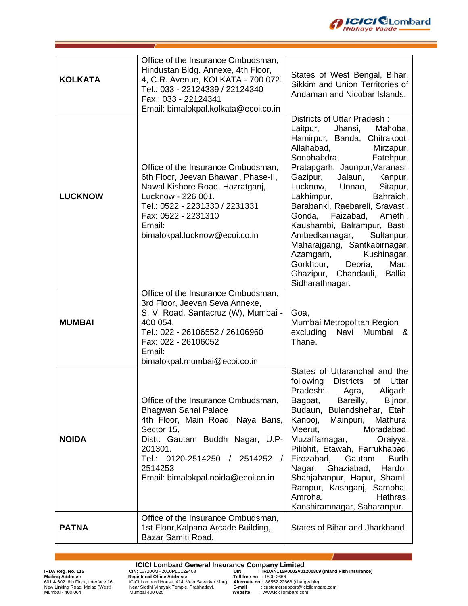

| <b>KOLKATA</b> | Office of the Insurance Ombudsman,<br>Hindustan Bldg. Annexe, 4th Floor,<br>4, C.R. Avenue, KOLKATA - 700 072.<br>Tel.: 033 - 22124339 / 22124340<br>Fax: 033 - 22124341<br>Email: bimalokpal.kolkata@ecoi.co.in                              | States of West Bengal, Bihar,<br>Sikkim and Union Territories of<br>Andaman and Nicobar Islands.                                                                                                                                                                                                                                                                                                                                                                                                                                                              |
|----------------|-----------------------------------------------------------------------------------------------------------------------------------------------------------------------------------------------------------------------------------------------|---------------------------------------------------------------------------------------------------------------------------------------------------------------------------------------------------------------------------------------------------------------------------------------------------------------------------------------------------------------------------------------------------------------------------------------------------------------------------------------------------------------------------------------------------------------|
| <b>LUCKNOW</b> | Office of the Insurance Ombudsman,<br>6th Floor, Jeevan Bhawan, Phase-II,<br>Nawal Kishore Road, Hazratganj,<br>Lucknow - 226 001.<br>Tel.: 0522 - 2231330 / 2231331<br>Fax: 0522 - 2231310<br>Email:<br>bimalokpal.lucknow@ecoi.co.in        | Districts of Uttar Pradesh:<br>Laitpur,<br>Mahoba,<br>Jhansi,<br>Hamirpur, Banda, Chitrakoot,<br>Allahabad,<br>Mirzapur,<br>Sonbhabdra,<br>Fatehpur,<br>Pratapgarh, Jaunpur, Varanasi,<br>Gazipur,<br>Jalaun, Kanpur,<br>Lucknow, Unnao, Sitapur,<br>Lakhimpur,<br>Bahraich,<br>Barabanki, Raebareli, Sravasti,<br>Gonda, Faizabad, Amethi,<br>Kaushambi, Balrampur, Basti,<br>Ambedkarnagar,<br>Sultanpur,<br>Maharajgang, Santkabirnagar,<br>Azamgarh,<br>Kushinagar,<br>Deoria,<br>Gorkhpur,<br>Mau,<br>Ghazipur, Chandauli,<br>Ballia,<br>Sidharathnagar. |
| <b>MUMBAI</b>  | Office of the Insurance Ombudsman,<br>3rd Floor, Jeevan Seva Annexe,<br>S. V. Road, Santacruz (W), Mumbai -<br>400 054.<br>Tel.: 022 - 26106552 / 26106960<br>Fax: 022 - 26106052<br>Email:<br>bimalokpal.mumbai@ecoi.co.in                   | Goa,<br>Mumbai Metropolitan Region<br>excluding<br>Navi<br>Mumbai<br>&<br>Thane.                                                                                                                                                                                                                                                                                                                                                                                                                                                                              |
| <b>NOIDA</b>   | Office of the Insurance Ombudsman,<br>Bhagwan Sahai Palace<br>4th Floor, Main Road, Naya Bans,<br>Sector 15,<br>Distt: Gautam Buddh Nagar, U.P-<br>201301.<br>Tel.: 0120-2514250 / 2514252 /<br>2514253<br>Email: bimalokpal.noida@ecoi.co.in | States of Uttaranchal and the<br>following<br><b>Districts</b><br>of<br>Uttar<br>Pradesh:.<br>Agra,<br>Aligarh,<br>Bareilly,<br>Bijnor,<br>Bagpat,<br>Budaun, Bulandshehar, Etah,<br>Kanooj,<br>Mainpuri,<br>Mathura,<br>Meerut,<br>Moradabad,<br>Muzaffarnagar,<br>Oraiyya,<br>Pilibhit, Etawah, Farrukhabad,<br>Firozabad, Gautam<br><b>Budh</b><br>Ghaziabad,<br>Nagar,<br>Hardoi,<br>Shahjahanpur, Hapur, Shamli,<br>Rampur, Kashganj, Sambhal,<br>Amroha,<br>Hathras,<br>Kanshiramnagar, Saharanpur.                                                     |
| <b>PATNA</b>   | Office of the Insurance Ombudsman,<br>1st Floor, Kalpana Arcade Building,,<br>Bazar Samiti Road,                                                                                                                                              | States of Bihar and Jharkhand                                                                                                                                                                                                                                                                                                                                                                                                                                                                                                                                 |

**ICICI Lombard General Insurance Company Limited**<br>
Mailing Address:<br>
Mailing Address:<br>
Equistered Office Address:<br>
Toll free no : 1800 2666<br>
EQICI Lombard House, 414, Veer Savarkar Marg, Alternate no : 8652 22666 (chargeab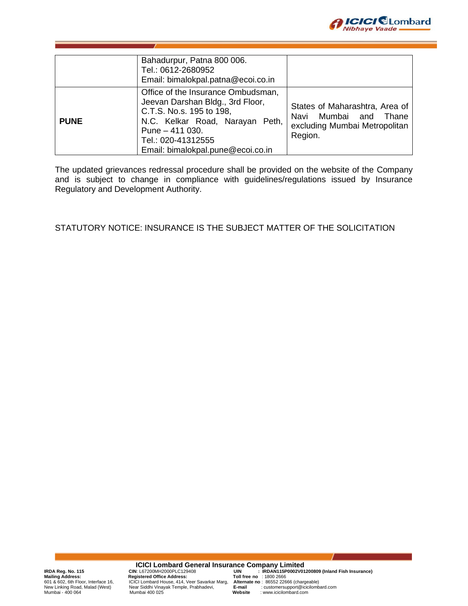

|             | Bahadurpur, Patna 800 006.<br>Tel.: 0612-2680952<br>Email: bimalokpal.patna@ecoi.co.in                                                                                                                               |                                                                                                           |
|-------------|----------------------------------------------------------------------------------------------------------------------------------------------------------------------------------------------------------------------|-----------------------------------------------------------------------------------------------------------|
| <b>PUNE</b> | Office of the Insurance Ombudsman,<br>Jeevan Darshan Bldg., 3rd Floor,<br>C.T.S. No.s. 195 to 198,<br>N.C. Kelkar Road, Narayan Peth,<br>Pune $-411$ 030.<br>Tel.: 020-41312555<br>Email: bimalokpal.pune@ecoi.co.in | States of Maharashtra, Area of<br>Mumbai and<br>Thane<br>Navi<br>excluding Mumbai Metropolitan<br>Region. |

The updated grievances redressal procedure shall be provided on the website of the Company and is subject to change in compliance with guidelines/regulations issued by Insurance Regulatory and Development Authority.

STATUTORY NOTICE: INSURANCE IS THE SUBJECT MATTER OF THE SOLICITATION

**ICICI Lombard General Insurance Company Limited**

IRDA Reg. No. 115<br>Mailing Address: No. 115 CIN: L67200MH2000PLC129408 UIN: IRDAN115P0002V01200809 (Inland Fish Insurance)<br>Mailing Address: Cincl Lombard House, 414, Veer Savarkar Marg, Alternate no : 1805 2666<br>New Linking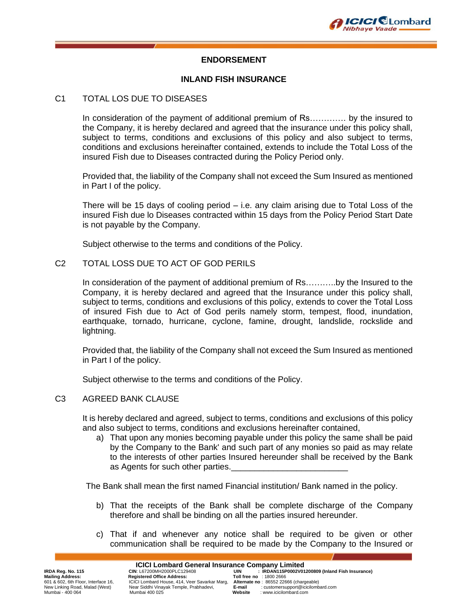

#### **ENDORSEMENT**

#### **INLAND FISH INSURANCE**

#### C1 TOTAL LOS DUE TO DISEASES

In consideration of the payment of additional premium of Rs…………. by the insured to the Company, it is hereby declared and agreed that the insurance under this policy shall, subject to terms, conditions and exclusions of this policy and also subject to terms, conditions and exclusions hereinafter contained, extends to include the Total Loss of the insured Fish due to Diseases contracted during the Policy Period only.

Provided that, the liability of the Company shall not exceed the Sum Insured as mentioned in Part I of the policy.

There will be 15 days of cooling period – i.e. any claim arising due to Total Loss of the insured Fish due lo Diseases contracted within 15 days from the Policy Period Start Date is not payable by the Company.

Subject otherwise to the terms and conditions of the Policy.

#### C2 TOTAL LOSS DUE TO ACT OF GOD PERILS

In consideration of the payment of additional premium of Rs………..by the Insured to the Company, it is hereby declared and agreed that the Insurance under this policy shall, subject to terms, conditions and exclusions of this policy, extends to cover the Total Loss of insured Fish due to Act of God perils namely storm, tempest, flood, inundation, earthquake, tornado, hurricane, cyclone, famine, drought, landslide, rockslide and lightning.

Provided that, the liability of the Company shall not exceed the Sum Insured as mentioned in Part I of the policy.

Subject otherwise to the terms and conditions of the Policy.

#### C3 AGREED BANK CLAUSE

It is hereby declared and agreed, subject to terms, conditions and exclusions of this policy and also subject to terms, conditions and exclusions hereinafter contained,

a) That upon any monies becoming payable under this policy the same shall be paid by the Company to the Bank' and such part of any monies so paid as may relate to the interests of other parties Insured hereunder shall be received by the Bank as Agents for such other parties.

The Bank shall mean the first named Financial institution/ Bank named in the policy.

- b) That the receipts of the Bank shall be complete discharge of the Company therefore and shall be binding on all the parties insured hereunder.
- c) That if and whenever any notice shall be required to be given or other communication shall be required to be made by the Company to the Insured or